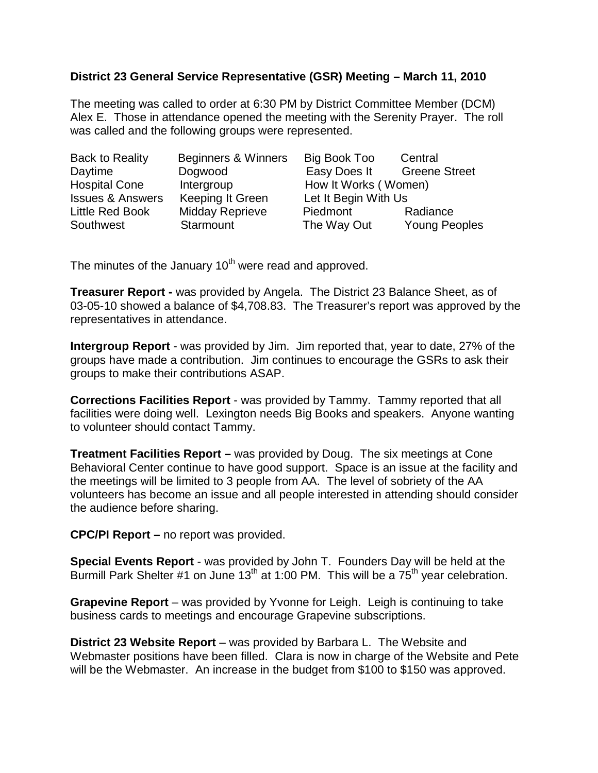## **District 23 General Service Representative (GSR) Meeting – March 11, 2010**

The meeting was called to order at 6:30 PM by District Committee Member (DCM) Alex E. Those in attendance opened the meeting with the Serenity Prayer. The roll was called and the following groups were represented.

| <b>Back to Reality</b>      | Beginners & Winners    | Big Book Too         | Central              |
|-----------------------------|------------------------|----------------------|----------------------|
| Daytime                     | Dogwood                | Easy Does It         | <b>Greene Street</b> |
| <b>Hospital Cone</b>        | Intergroup             | How It Works (Women) |                      |
| <b>Issues &amp; Answers</b> | Keeping It Green       | Let It Begin With Us |                      |
| <b>Little Red Book</b>      | <b>Midday Reprieve</b> | Piedmont             | Radiance             |
| Southwest                   | Starmount              | The Way Out          | <b>Young Peoples</b> |

The minutes of the January 10<sup>th</sup> were read and approved.

**Treasurer Report -** was provided by Angela. The District 23 Balance Sheet, as of 03-05-10 showed a balance of \$4,708.83. The Treasurer's report was approved by the representatives in attendance.

**Intergroup Report** - was provided by Jim. Jim reported that, year to date, 27% of the groups have made a contribution. Jim continues to encourage the GSRs to ask their groups to make their contributions ASAP.

**Corrections Facilities Report** - was provided by Tammy. Tammy reported that all facilities were doing well. Lexington needs Big Books and speakers. Anyone wanting to volunteer should contact Tammy.

**Treatment Facilities Report –** was provided by Doug. The six meetings at Cone Behavioral Center continue to have good support. Space is an issue at the facility and the meetings will be limited to 3 people from AA. The level of sobriety of the AA volunteers has become an issue and all people interested in attending should consider the audience before sharing.

**CPC/PI Report –** no report was provided.

**Special Events Report** - was provided by John T. Founders Day will be held at the Burmill Park Shelter #1 on June  $13<sup>th</sup>$  at 1:00 PM. This will be a  $75<sup>th</sup>$  year celebration.

**Grapevine Report** – was provided by Yvonne for Leigh. Leigh is continuing to take business cards to meetings and encourage Grapevine subscriptions.

**District 23 Website Report** – was provided by Barbara L. The Website and Webmaster positions have been filled. Clara is now in charge of the Website and Pete will be the Webmaster. An increase in the budget from \$100 to \$150 was approved.